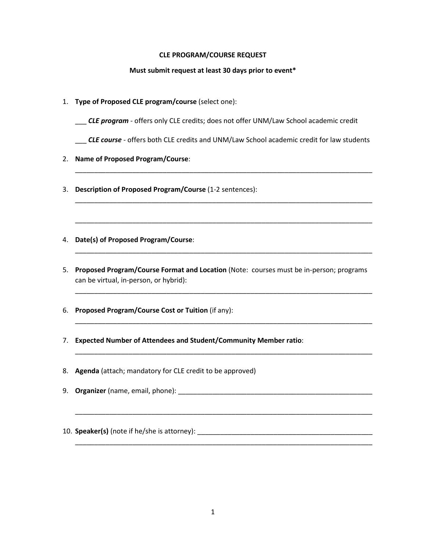## **CLE PROGRAM/COURSE REQUEST**

## **Must submit request at least 30 days prior to event\***

- 1. **Type of Proposed CLE program/course** (select one):
	- \_\_\_ *CLE program* offers only CLE credits; does not offer UNM/Law School academic credit
	- \_\_\_ *CLE course* offers both CLE credits and UNM/Law School academic credit for law students

\_\_\_\_\_\_\_\_\_\_\_\_\_\_\_\_\_\_\_\_\_\_\_\_\_\_\_\_\_\_\_\_\_\_\_\_\_\_\_\_\_\_\_\_\_\_\_\_\_\_\_\_\_\_\_\_\_\_\_\_\_\_\_\_\_\_\_\_\_\_\_\_\_\_\_\_\_\_

\_\_\_\_\_\_\_\_\_\_\_\_\_\_\_\_\_\_\_\_\_\_\_\_\_\_\_\_\_\_\_\_\_\_\_\_\_\_\_\_\_\_\_\_\_\_\_\_\_\_\_\_\_\_\_\_\_\_\_\_\_\_\_\_\_\_\_\_\_\_\_\_\_\_\_\_\_\_

\_\_\_\_\_\_\_\_\_\_\_\_\_\_\_\_\_\_\_\_\_\_\_\_\_\_\_\_\_\_\_\_\_\_\_\_\_\_\_\_\_\_\_\_\_\_\_\_\_\_\_\_\_\_\_\_\_\_\_\_\_\_\_\_\_\_\_\_\_\_\_\_\_\_\_\_\_\_

\_\_\_\_\_\_\_\_\_\_\_\_\_\_\_\_\_\_\_\_\_\_\_\_\_\_\_\_\_\_\_\_\_\_\_\_\_\_\_\_\_\_\_\_\_\_\_\_\_\_\_\_\_\_\_\_\_\_\_\_\_\_\_\_\_\_\_\_\_\_\_\_\_\_\_\_\_\_

\_\_\_\_\_\_\_\_\_\_\_\_\_\_\_\_\_\_\_\_\_\_\_\_\_\_\_\_\_\_\_\_\_\_\_\_\_\_\_\_\_\_\_\_\_\_\_\_\_\_\_\_\_\_\_\_\_\_\_\_\_\_\_\_\_\_\_\_\_\_\_\_\_\_\_\_\_\_

\_\_\_\_\_\_\_\_\_\_\_\_\_\_\_\_\_\_\_\_\_\_\_\_\_\_\_\_\_\_\_\_\_\_\_\_\_\_\_\_\_\_\_\_\_\_\_\_\_\_\_\_\_\_\_\_\_\_\_\_\_\_\_\_\_\_\_\_\_\_\_\_\_\_\_\_\_\_

\_\_\_\_\_\_\_\_\_\_\_\_\_\_\_\_\_\_\_\_\_\_\_\_\_\_\_\_\_\_\_\_\_\_\_\_\_\_\_\_\_\_\_\_\_\_\_\_\_\_\_\_\_\_\_\_\_\_\_\_\_\_\_\_\_\_\_\_\_\_\_\_\_\_\_\_\_\_

\_\_\_\_\_\_\_\_\_\_\_\_\_\_\_\_\_\_\_\_\_\_\_\_\_\_\_\_\_\_\_\_\_\_\_\_\_\_\_\_\_\_\_\_\_\_\_\_\_\_\_\_\_\_\_\_\_\_\_\_\_\_\_\_\_\_\_\_\_\_\_\_\_\_\_\_\_\_

\_\_\_\_\_\_\_\_\_\_\_\_\_\_\_\_\_\_\_\_\_\_\_\_\_\_\_\_\_\_\_\_\_\_\_\_\_\_\_\_\_\_\_\_\_\_\_\_\_\_\_\_\_\_\_\_\_\_\_\_\_\_\_\_\_\_\_\_\_\_\_\_\_\_\_\_\_\_

- 2. **Name of Proposed Program/Course**:
- 3. **Description of Proposed Program/Course** (1-2 sentences):
- 4. **Date(s) of Proposed Program/Course**:
- 5. **Proposed Program/Course Format and Location** (Note: courses must be in-person; programs can be virtual, in-person, or hybrid):
- 6. **Proposed Program/Course Cost or Tuition** (if any):
- 7. **Expected Number of Attendees and Student/Community Member ratio**:
- 8. **Agenda** (attach; mandatory for CLE credit to be approved)
- 9. **Organizer** (name, email, phone): **with a substitute of the contract of the contract of the contract of the contract of the contract of the contract of the contract of the contract of the contract of the contract of the**
- 10. **Speaker(s)** (note if he/she is attorney): \_\_\_\_\_\_\_\_\_\_\_\_\_\_\_\_\_\_\_\_\_\_\_\_\_\_\_\_\_\_\_\_\_\_\_\_\_\_\_\_\_\_\_\_\_\_